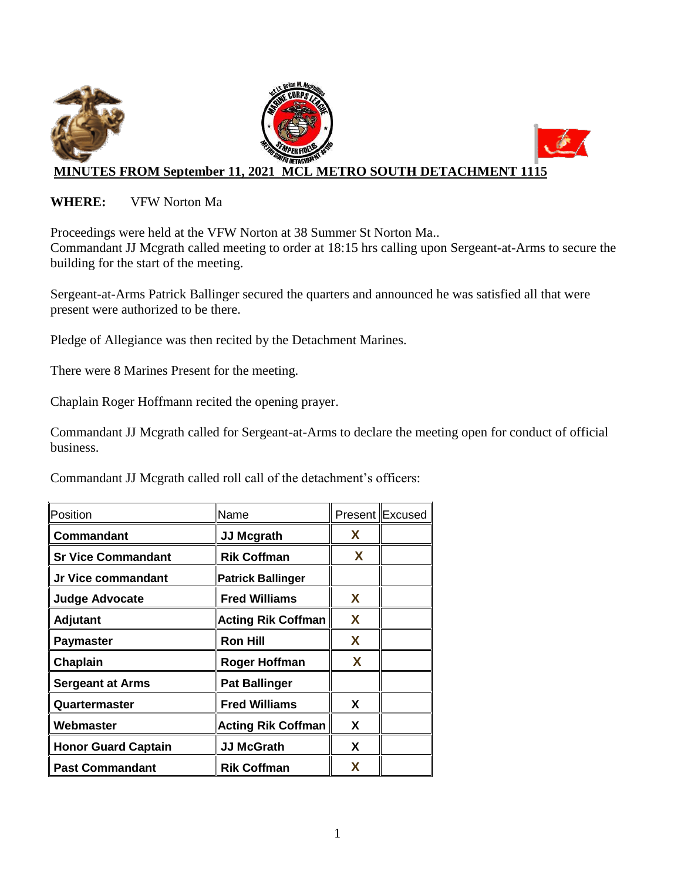

## **WHERE:** VFW Norton Ma

Proceedings were held at the VFW Norton at 38 Summer St Norton Ma.. Commandant JJ Mcgrath called meeting to order at 18:15 hrs calling upon Sergeant-at-Arms to secure the building for the start of the meeting.

Sergeant-at-Arms Patrick Ballinger secured the quarters and announced he was satisfied all that were present were authorized to be there.

Pledge of Allegiance was then recited by the Detachment Marines.

There were 8 Marines Present for the meeting.

Chaplain Roger Hoffmann recited the opening prayer.

Commandant JJ Mcgrath called for Sergeant-at-Arms to declare the meeting open for conduct of official business.

Commandant JJ Mcgrath called roll call of the detachment's officers:

| Position                   | Name                      |   | Present Excused |
|----------------------------|---------------------------|---|-----------------|
| Commandant                 | <b>JJ Mcgrath</b>         | X |                 |
| <b>Sr Vice Commandant</b>  | <b>Rik Coffman</b>        | X |                 |
| Jr Vice commandant         | <b>Patrick Ballinger</b>  |   |                 |
| <b>Judge Advocate</b>      | <b>Fred Williams</b>      | X |                 |
| Adjutant                   | <b>Acting Rik Coffman</b> | X |                 |
| <b>Paymaster</b>           | <b>Ron Hill</b>           | X |                 |
| Chaplain                   | Roger Hoffman             | X |                 |
| <b>Sergeant at Arms</b>    | <b>Pat Ballinger</b>      |   |                 |
| Quartermaster              | <b>Fred Williams</b>      | X |                 |
| Webmaster                  | <b>Acting Rik Coffman</b> | X |                 |
| <b>Honor Guard Captain</b> | <b>JJ McGrath</b>         | X |                 |
| <b>Past Commandant</b>     | <b>Rik Coffman</b>        | X |                 |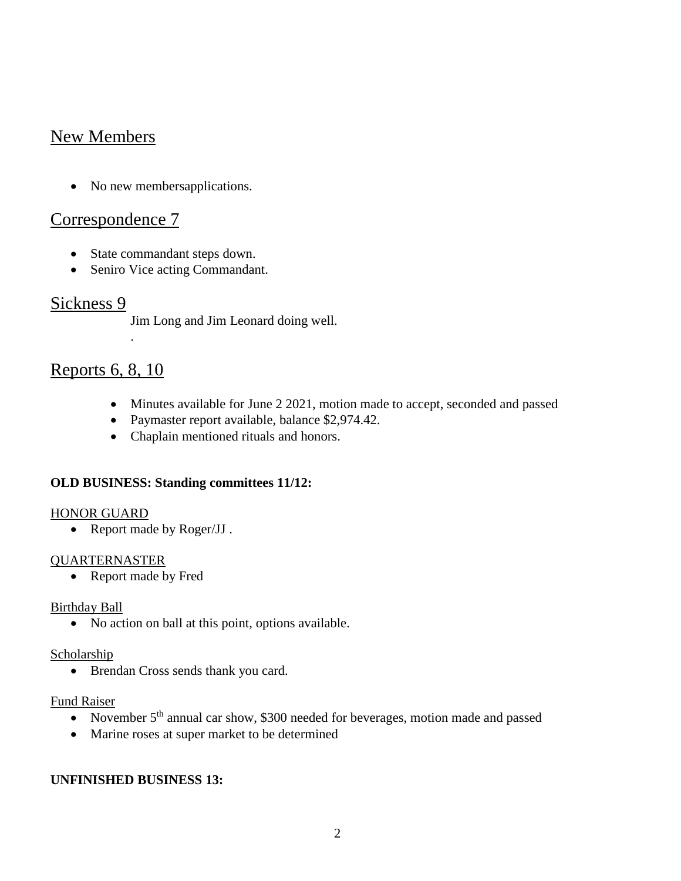# New Members

• No new membersapplications.

## Correspondence 7

- State commandant steps down.
- Seniro Vice acting Commandant.

## Sickness 9

Jim Long and Jim Leonard doing well.

## Reports 6, 8, 10

.

- Minutes available for June 2 2021, motion made to accept, seconded and passed
- Paymaster report available, balance \$2,974.42.
- Chaplain mentioned rituals and honors.

### **OLD BUSINESS: Standing committees 11/12:**

#### HONOR GUARD

• Report made by Roger/JJ.

### QUARTERNASTER

• Report made by Fred

#### Birthday Ball

• No action on ball at this point, options available.

#### **Scholarship**

• Brendan Cross sends thank you card.

#### Fund Raiser

- November  $5<sup>th</sup>$  annual car show, \$300 needed for beverages, motion made and passed
- Marine roses at super market to be determined

### **UNFINISHED BUSINESS 13:**